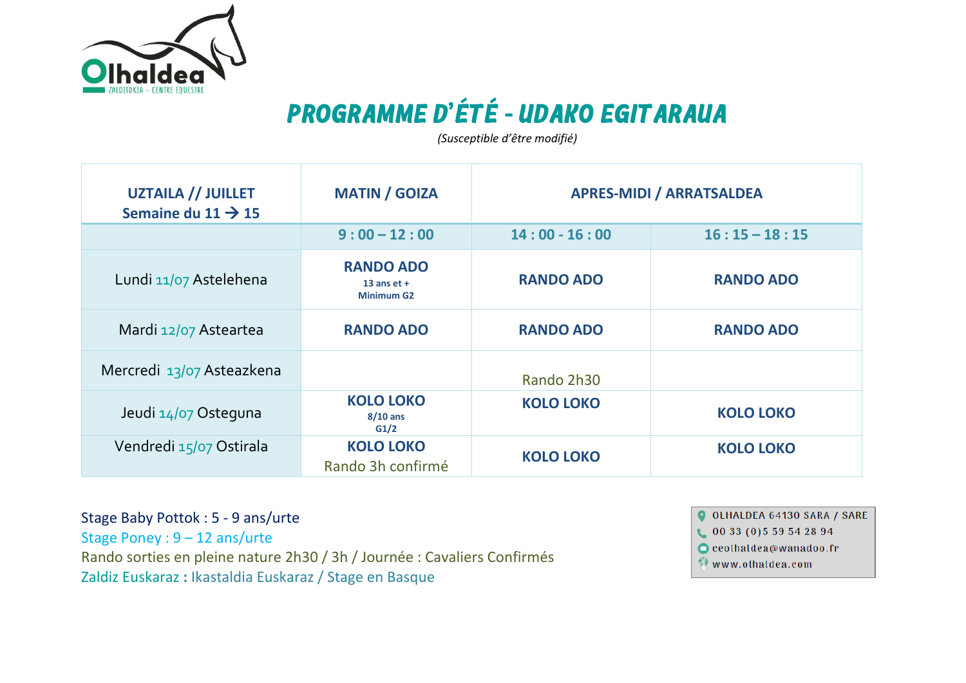

## **PROGRAMME D'ÉTÉ - UDAKO EGIT ARAUA**

*(Susceptible d'être modifié)*

| <b>UZTAILA // JUILLET</b><br>Semaine du 11 $\rightarrow$ 15 | <b>MATIN / GOIZA</b>                                   | <b>APRES-MIDI / ARRATSALDEA</b> |                  |
|-------------------------------------------------------------|--------------------------------------------------------|---------------------------------|------------------|
|                                                             | $9:00 - 12:00$                                         | $14:00 - 16:00$                 | $16:15 - 18:15$  |
| Lundi 11/07 Astelehena                                      | <b>RANDO ADO</b><br>13 ans $et +$<br><b>Minimum G2</b> | <b>RANDO ADO</b>                | <b>RANDO ADO</b> |
| Mardi 12/07 Asteartea                                       | <b>RANDO ADO</b>                                       | <b>RANDO ADO</b>                | <b>RANDO ADO</b> |
| Mercredi 13/07 Asteazkena                                   |                                                        | Rando 2h30                      |                  |
| Jeudi 14/07 Osteguna                                        | <b>KOLO LOKO</b><br>$8/10$ ans<br>G1/2                 | <b>KOLO LOKO</b>                | <b>KOLO LOKO</b> |
| Vendredi 15/07 Ostirala                                     | <b>KOLO LOKO</b><br>Rando 3h confirmé                  | <b>KOLO LOKO</b>                | <b>KOLO LOKO</b> |

Stage Baby Pottok : 5 - 9 ans/urte Stage Poney : 9 – 12 ans/urte Rando sorties en pleine nature 2h30 / 3h / Journée : Cavaliers Confirmés Zaldiz Euskaraz **:** Ikastaldia Euskaraz / Stage en Basque

O OLHALDEA 64130 SARA / SARE

 $0033(0)559542894$ 

 $\bigcirc$  ceolhaldea@wanadoo.fr

www.olhaldea.com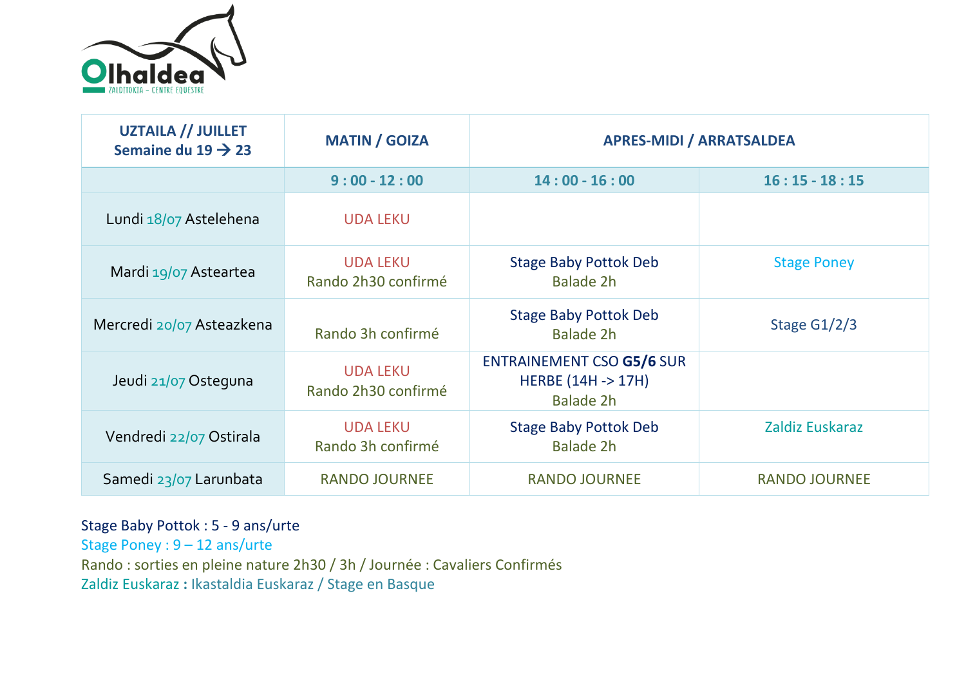

| <b>UZTAILA // JUILLET</b><br>Semaine du 19 $\rightarrow$ 23 | <b>MATIN / GOIZA</b>                   | <b>APRES-MIDI / ARRATSALDEA</b>                                               |                      |
|-------------------------------------------------------------|----------------------------------------|-------------------------------------------------------------------------------|----------------------|
|                                                             | $9:00 - 12:00$                         | $14:00 - 16:00$                                                               | $16:15 - 18:15$      |
| Lundi 18/07 Astelehena                                      | <b>UDA LEKU</b>                        |                                                                               |                      |
| Mardi 19/07 Asteartea                                       | <b>UDA LEKU</b><br>Rando 2h30 confirmé | <b>Stage Baby Pottok Deb</b><br>Balade 2h                                     | <b>Stage Poney</b>   |
| Mercredi 20/07 Asteazkena                                   | Rando 3h confirmé                      | <b>Stage Baby Pottok Deb</b><br>Balade 2h                                     | Stage $G1/2/3$       |
| Jeudi 21/07 Osteguna                                        | <b>UDA LEKU</b><br>Rando 2h30 confirmé | <b>ENTRAINEMENT CSO G5/6 SUR</b><br><b>HERBE (14H -&gt; 17H)</b><br>Balade 2h |                      |
| Vendredi 22/07 Ostirala                                     | <b>UDA LEKU</b><br>Rando 3h confirmé   | <b>Stage Baby Pottok Deb</b><br><b>Balade 2h</b>                              | Zaldiz Euskaraz      |
| Samedi 23/07 Larunbata                                      | <b>RANDO JOURNEE</b>                   | <b>RANDO JOURNEE</b>                                                          | <b>RANDO JOURNEE</b> |

## Stage Baby Pottok : 5 - 9 ans/urte

Stage Poney : 9 – 12 ans/urte Rando : sorties en pleine nature 2h30 / 3h / Journée : Cavaliers Confirmés Zaldiz Euskaraz **:** Ikastaldia Euskaraz / Stage en Basque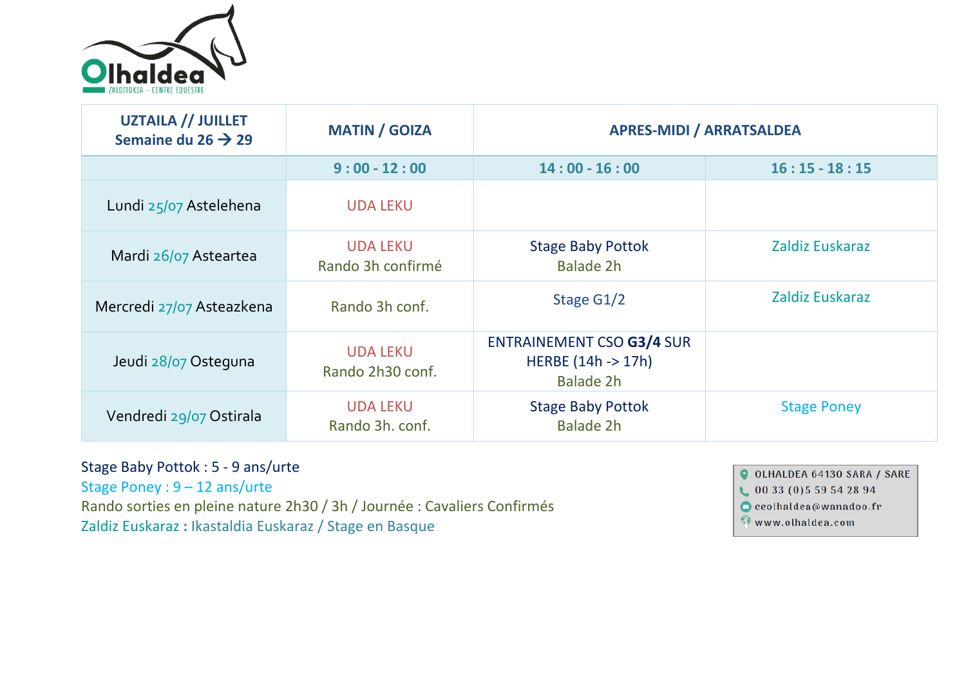

| <b>UZTAILA // JUILLET</b><br>Semaine du 26 $\rightarrow$ 29 | <b>MATIN / GOIZA</b>                 | <b>APRES-MIDI / ARRATSALDEA</b>                                     |                    |
|-------------------------------------------------------------|--------------------------------------|---------------------------------------------------------------------|--------------------|
|                                                             | $9:00 - 12:00$                       | $14:00 - 16:00$                                                     | $16:15 - 18:15$    |
| Lundi 25/07 Astelehena                                      | <b>UDA LEKU</b>                      |                                                                     |                    |
| Mardi 26/07 Asteartea                                       | <b>UDA LEKU</b><br>Rando 3h confirmé | <b>Stage Baby Pottok</b><br>Balade 2h                               | Zaldiz Euskaraz    |
| Mercredi 27/07 Asteazkena                                   | Rando 3h conf.                       | Stage G1/2                                                          | Zaldiz Euskaraz    |
| Jeudi 28/07 Osteguna                                        | <b>UDA LEKU</b><br>Rando 2h30 conf.  | <b>ENTRAINEMENT CSO G3/4 SUR</b><br>HERBE (14h -> 17h)<br>Balade 2h |                    |
| Vendredi 29/07 Ostirala                                     | <b>UDA LEKU</b><br>Rando 3h. conf.   | <b>Stage Baby Pottok</b><br><b>Balade 2h</b>                        | <b>Stage Poney</b> |

## Stage Baby Pottok : 5 - 9 ans/urte

Stage Poney : 9 – 12 ans/urte Rando sorties en pleine nature 2h30 / 3h / Journée : Cavaliers Confirmés Zaldiz Euskaraz **:** Ikastaldia Euskaraz / Stage en Basque

O OLHALDEA 64130 SARA / SARE  $0033(0)559542894$  $\bigcirc$  ceolhaldea@wanadoo.fr Www.olhaldea.com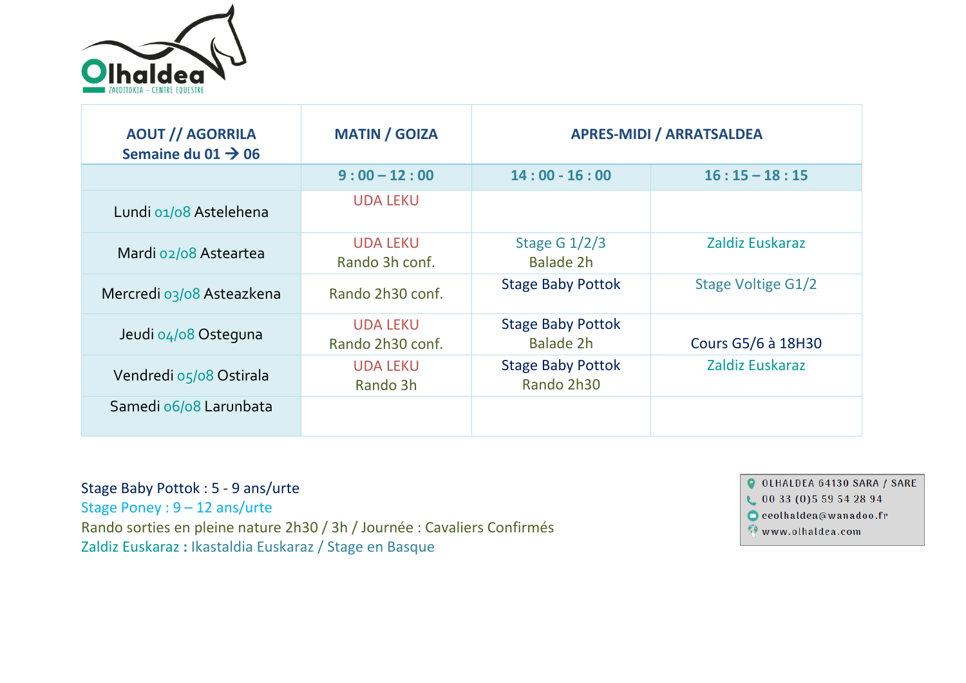

| <b>AOUT // AGORRILA</b><br>Semaine du 01 $\rightarrow$ 06 | <b>MATIN / GOIZA</b>                | <b>APRES-MIDI / ARRATSALDEA</b>              |                           |
|-----------------------------------------------------------|-------------------------------------|----------------------------------------------|---------------------------|
|                                                           | $9:00 - 12:00$                      | $14:00 - 16:00$                              | $16:15 - 18:15$           |
| Lundi 01/08 Astelehena                                    | <b>UDA LEKU</b>                     |                                              |                           |
| Mardi 02/08 Asteartea                                     | <b>UDA LEKU</b><br>Rando 3h conf.   | Stage G $1/2/3$<br><b>Balade 2h</b>          | Zaldiz Euskaraz           |
| Mercredi 03/08 Asteazkena                                 | Rando 2h30 conf.                    | <b>Stage Baby Pottok</b>                     | <b>Stage Voltige G1/2</b> |
| Jeudi 04/08 Osteguna                                      | <b>UDA LEKU</b><br>Rando 2h30 conf. | <b>Stage Baby Pottok</b><br><b>Balade 2h</b> | Cours G5/6 à 18H30        |
| Vendredi 05/08 Ostirala                                   | <b>UDA LEKU</b><br>Rando 3h         | <b>Stage Baby Pottok</b><br>Rando 2h30       | Zaldiz Euskaraz           |
| Samedi 06/08 Larunbata                                    |                                     |                                              |                           |

Stage Baby Pottok : 5 - 9 ans/urte Stage Poney : 9 – 12 ans/urte Rando sorties en pleine nature 2h30 / 3h / Journée : Cavaliers Confirmés Zaldiz Euskaraz **:** Ikastaldia Euskaraz / Stage en Basque

O OLHALDEA 64130 SARA / SARE  $0033(0)559542894$  $\bullet$  ceolhaldea@wanadoo.fr www.olhaldea.com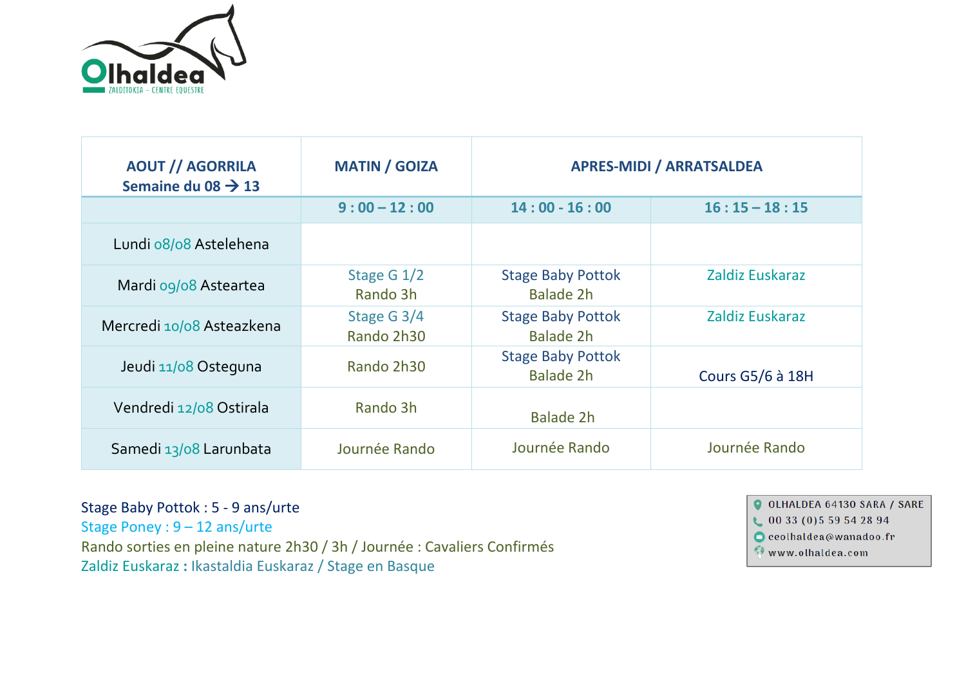

| <b>AOUT // AGORRILA</b><br>Semaine du 08 $\rightarrow$ 13 | <b>MATIN / GOIZA</b>      | <b>APRES-MIDI / ARRATSALDEA</b>              |                         |  |
|-----------------------------------------------------------|---------------------------|----------------------------------------------|-------------------------|--|
|                                                           | $9:00 - 12:00$            | $14:00 - 16:00$                              | $16:15 - 18:15$         |  |
| Lundi 08/08 Astelehena                                    |                           |                                              |                         |  |
| Mardi 09/08 Asteartea                                     | Stage G $1/2$<br>Rando 3h | <b>Stage Baby Pottok</b><br><b>Balade 2h</b> | Zaldiz Euskaraz         |  |
| Mercredi 10/08 Asteazkena                                 | Stage G 3/4<br>Rando 2h30 | <b>Stage Baby Pottok</b><br><b>Balade 2h</b> | Zaldiz Euskaraz         |  |
| Jeudi 11/08 Osteguna                                      | Rando 2h30                | <b>Stage Baby Pottok</b><br><b>Balade 2h</b> | <b>Cours G5/6 à 18H</b> |  |
| Vendredi 12/08 Ostirala                                   | Rando 3h                  | <b>Balade 2h</b>                             |                         |  |
| Samedi 13/08 Larunbata                                    | Journée Rando             | Journée Rando                                | Journée Rando           |  |

Stage Baby Pottok : 5 - 9 ans/urte Stage Poney : 9 – 12 ans/urte Rando sorties en pleine nature 2h30 / 3h / Journée : Cavaliers Confirmés Zaldiz Euskaraz **:** Ikastaldia Euskaraz / Stage en Basque

O OLHALDEA 64130 SARA / SARE  $0033(0)559542894$  $\bullet$  ceolhaldea@wanadoo.fr Www.olhaldea.com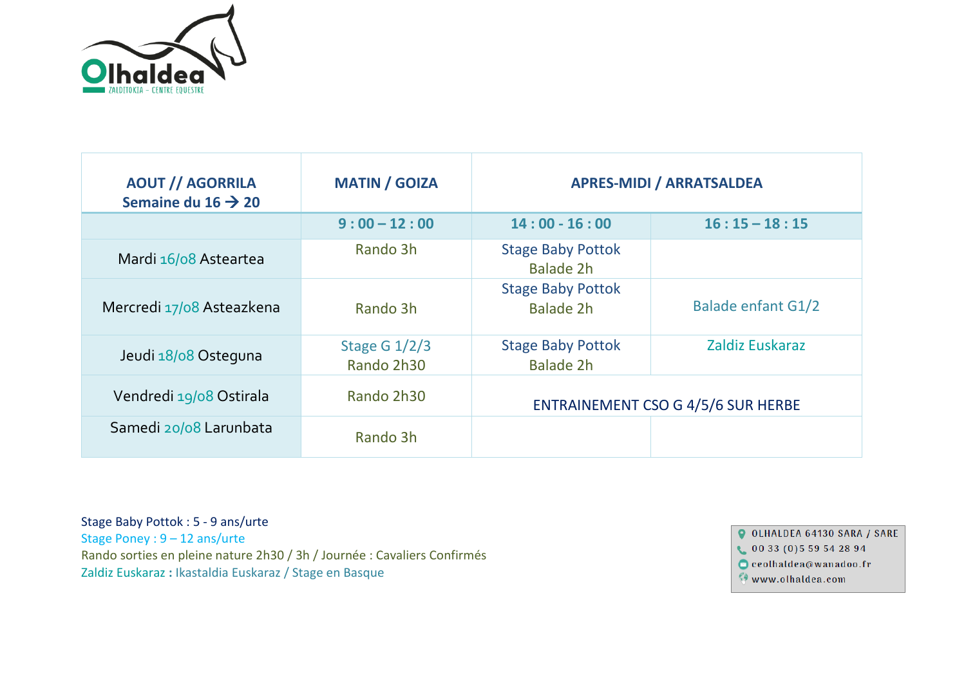

| <b>AOUT // AGORRILA</b><br>Semaine du 16 $\rightarrow$ 20 | <b>MATIN / GOIZA</b>          | <b>APRES-MIDI / ARRATSALDEA</b>              |                           |
|-----------------------------------------------------------|-------------------------------|----------------------------------------------|---------------------------|
|                                                           | $9:00 - 12:00$                | $14:00 - 16:00$                              | $16:15 - 18:15$           |
| Mardi 16/08 Asteartea                                     | Rando 3h                      | <b>Stage Baby Pottok</b><br><b>Balade 2h</b> |                           |
| Mercredi 17/08 Asteazkena                                 | Rando 3h                      | <b>Stage Baby Pottok</b><br>Balade 2h        | <b>Balade enfant G1/2</b> |
| Jeudi 18/08 Osteguna                                      | Stage G $1/2/3$<br>Rando 2h30 | <b>Stage Baby Pottok</b><br><b>Balade 2h</b> | Zaldiz Euskaraz           |
| Vendredi 19/08 Ostirala                                   | Rando 2h30                    | <b>ENTRAINEMENT CSO G 4/5/6 SUR HERBE</b>    |                           |
| Samedi 20/08 Larunbata                                    | Rando 3h                      |                                              |                           |

Stage Baby Pottok : 5 - 9 ans/urte Stage Poney : 9 – 12 ans/urte Rando sorties en pleine nature 2h30 / 3h / Journée : Cavaliers Confirmés Zaldiz Euskaraz **:** Ikastaldia Euskaraz / Stage en Basque

O OLHALDEA 64130 SARA / SARE

 $\bigcup$  00 33 (0) 5 59 54 28 94

 $\bullet$  ceolhaldea@wanadoo.fr

 $\bullet$  www.olhaldea.com